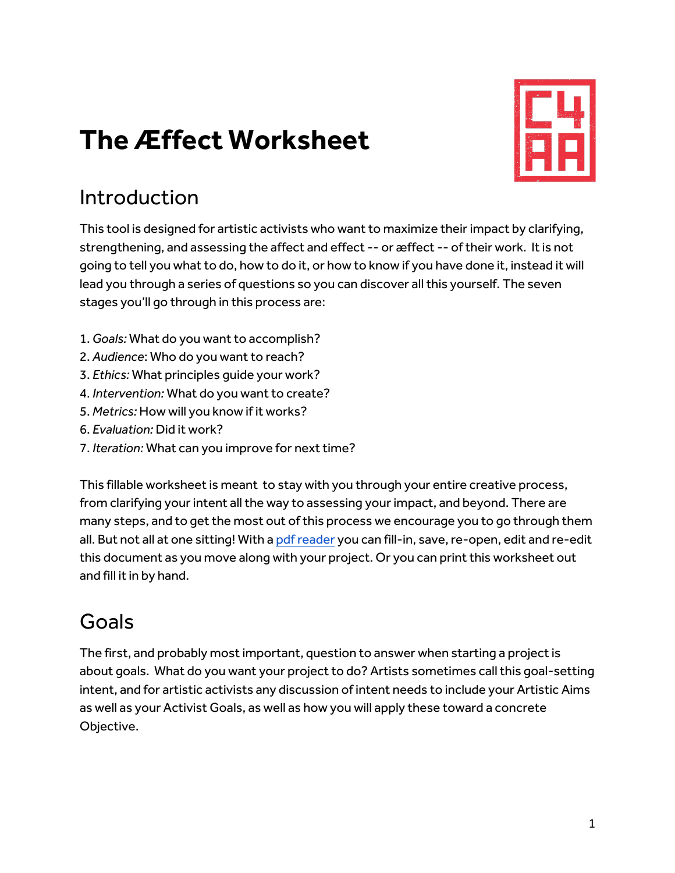# **The Æffect Worksheet**



# Introduction

This tool is designed for artistic activists who want to maximize their impact by clarifying, strengthening, and assessing the affect and effect -- or æffect -- of their work. It is not going to tell you what to do, how to do it, or how to know if you have done it, instead it will lead you through a series of questions so you can discover all this yourself. The seven stages you'll go through in this process are:

- 1. *Goals:* What do you want to accomplish?
- 2. *Audience*: Who do you want to reach?
- 3. *Ethics:* What principles guide your work?
- 4. *Intervention:* What do you want to create?
- 5. *Metrics:* How will you know if it works?
- 6. *Evaluation:* Did it work?
- 7. *Iteration:* What can you improve for next time?

This fillable worksheet is meant to stay with you through your entire creative process, from clarifying your intent all the way to assessing your impact, and beyond. There are many steps, and to get the most out of this process we encourage you to go through them all. But not all at one sitting! With a pdf reader you can fill-in, save, re-open, edit and re-edit this document as you move along with your project. Or you can print this worksheet out and fill it in by hand.

### Goals

The first, and probably most important, question to answer when starting a project is about goals. What do you want your project to do? Artists sometimes call this goal-setting intent, and for artistic activists any discussion of intent needs to include your Artistic Aims as well as your Activist Goals, as well as how you will apply these toward a concrete Objective.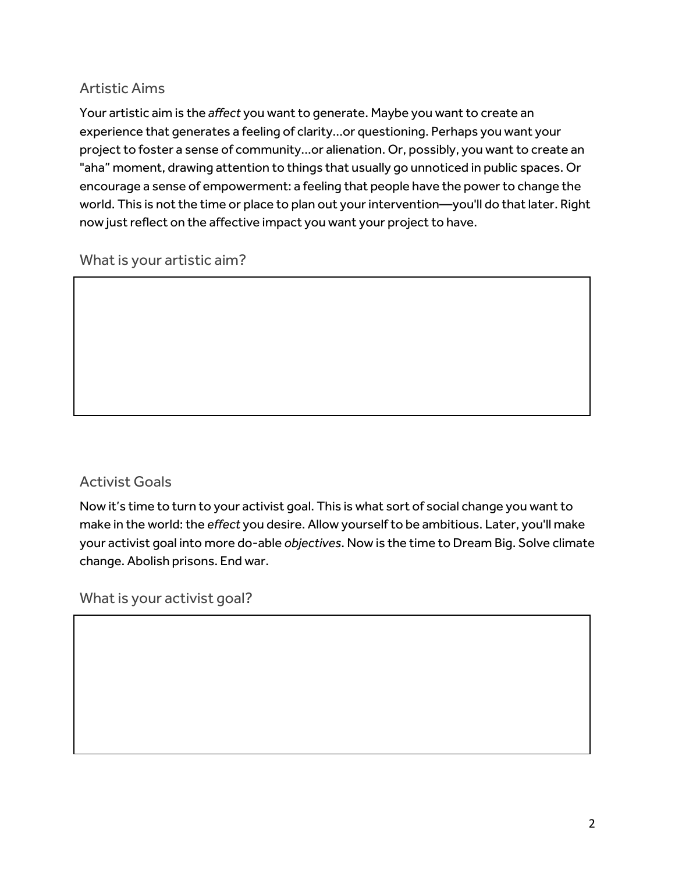### Artistic Aims

Your artistic aim is the *affect* you want to generate. Maybe you want to create an experience that generates a feeling of clarity...or questioning. Perhaps you want your project to foster a sense of community...or alienation. Or, possibly, you want to create an "aha" moment, drawing attention to things that usually go unnoticed in public spaces. Or encourage a sense of empowerment: a feeling that people have the power to change the world. This is not the time or place to plan out your intervention—you'll do that later. Right now just reflect on the affective impact you want your project to have.

What is your artistic aim?

### Activist Goals

Now it's time to turn to your activist goal. This is what sort of social change you want to make in the world: the *effect* you desire. Allow yourself to be ambitious. Later, you'll make your activist goal into more do-able *objectives*. Now is the time to Dream Big. Solve climate change. Abolish prisons. End war.

What is your activist goal?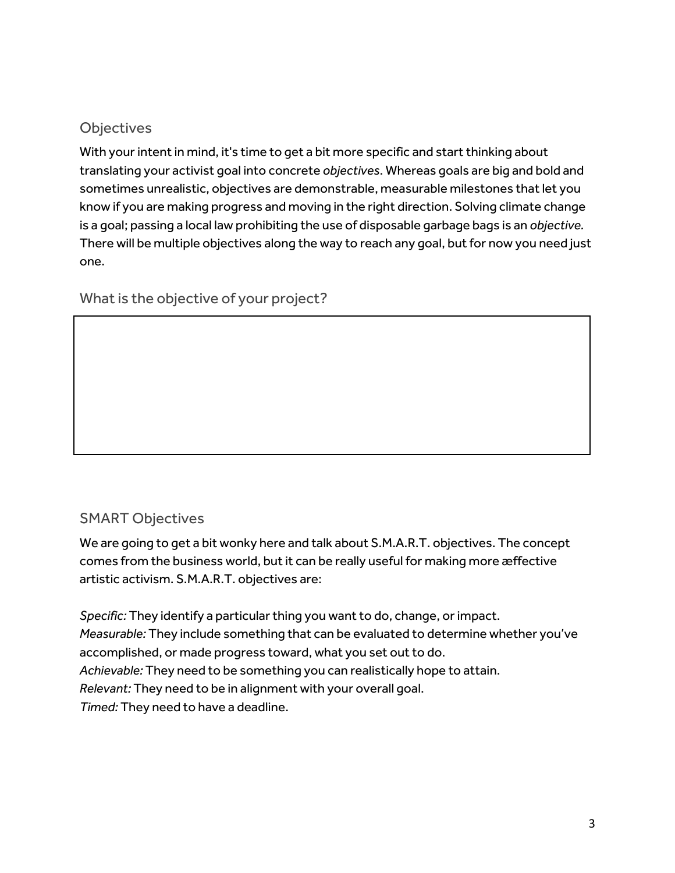### **Objectives**

With your intent in mind, it's time to get a bit more specific and start thinking about translating your activist goal into concrete *objectives*. Whereas goals are big and bold and sometimes unrealistic, objectives are demonstrable, measurable milestones that let you know if you are making progress and moving in the right direction. Solving climate change is a goal; passing a local law prohibiting the use of disposable garbage bags is an *objective.*  There will be multiple objectives along the way to reach any goal, but for now you need just one.

What is the objective of your project?

### SMART Objectives

We are going to get a bit wonky here and talk about S.M.A.R.T. objectives. The concept comes from the business world, but it can be really useful for making more æffective artistic activism. S.M.A.R.T. objectives are:

*Specific:* They identify a particular thing you want to do, change, or impact. *Measurable:* They include something that can be evaluated to determine whether you've accomplished, or made progress toward, what you set out to do. *Achievable:* They need to be something you can realistically hope to attain. *Relevant:* They need to be in alignment with your overall goal. *Timed:* They need to have a deadline.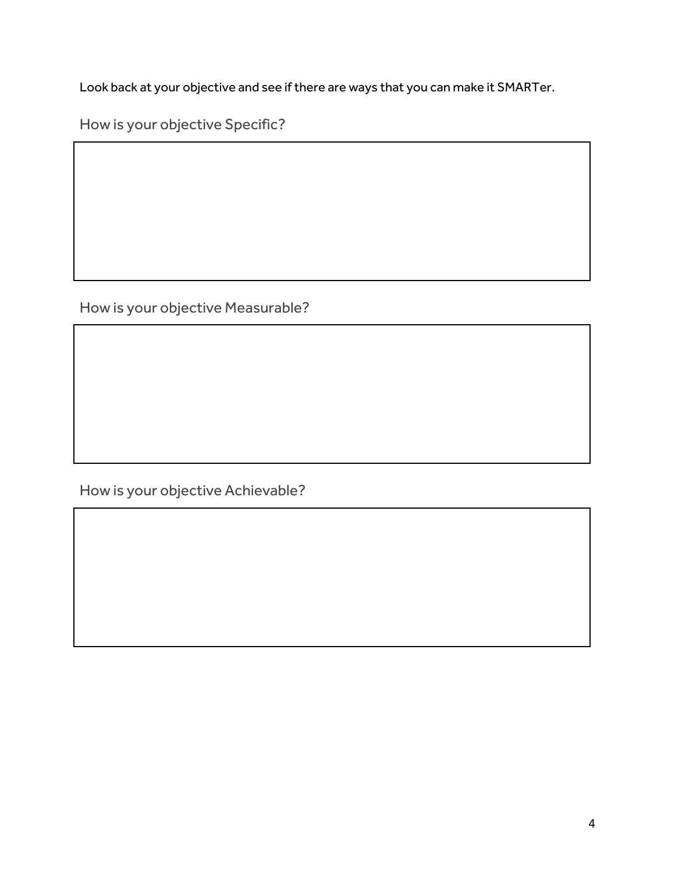Look back at your objective and see if there are ways that you can make it SMARTer.

How is your objective Specific?

How is your objective Measurable?

How is your objective Achievable?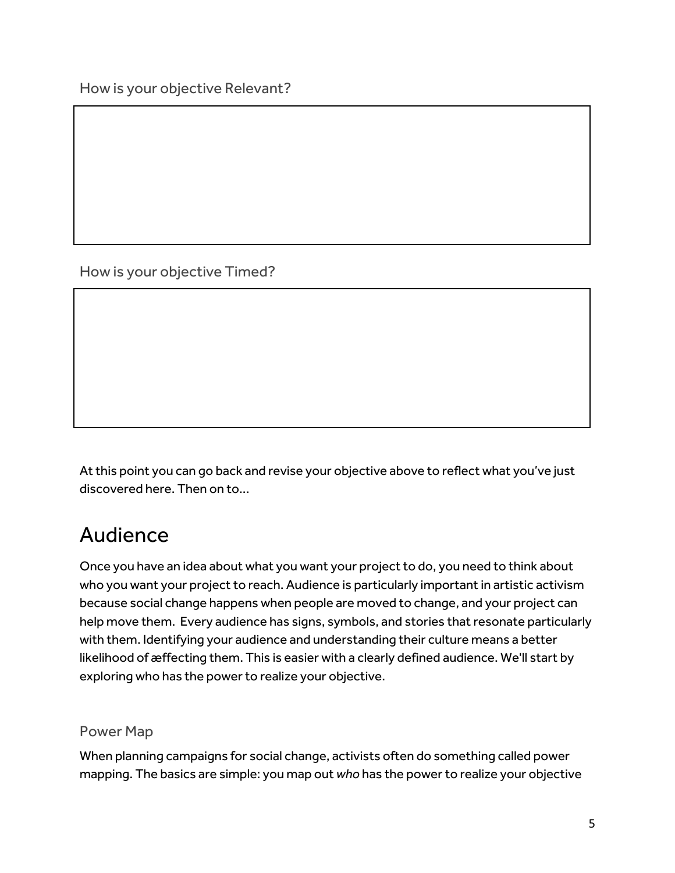How is your objective Relevant?

How is your objective Timed?

At this point you can go back and revise your objective above to reflect what you've just discovered here. Then on to...

### Audience

Once you have an idea about what you want your project to do, you need to think about who you want your project to reach. Audience is particularly important in artistic activism because social change happens when people are moved to change, and your project can help move them. Every audience has signs, symbols, and stories that resonate particularly with them. Identifying your audience and understanding their culture means a better likelihood of æffecting them. This is easier with a clearly defined audience. We'll start by exploring who has the power to realize your objective.

### Power Map

When planning campaigns for social change, activists often do something called power mapping. The basics are simple: you map out *who* has the power to realize your objective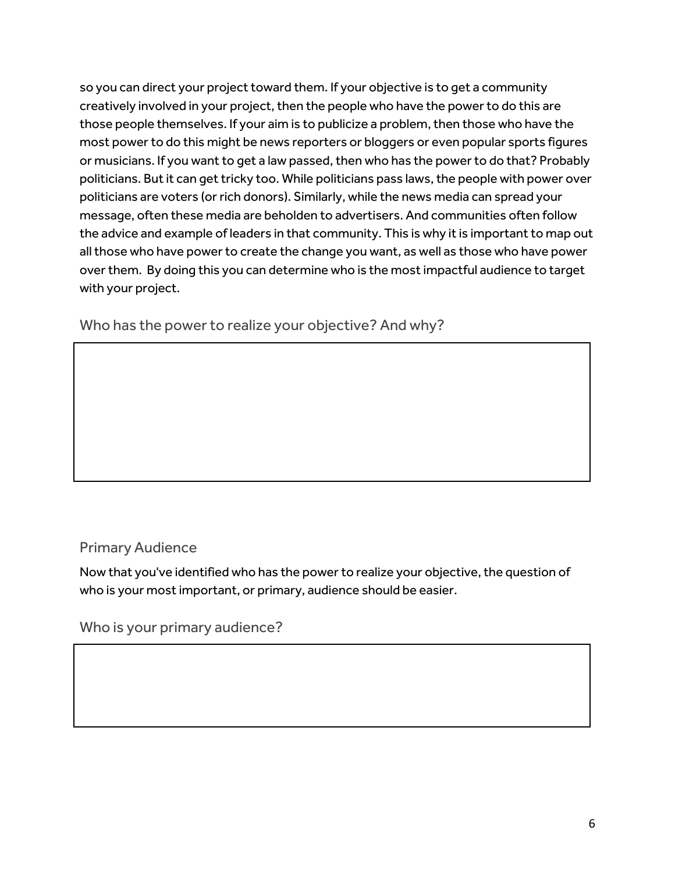so you can direct your project toward them. If your objective is to get a community creatively involved in your project, then the people who have the power to do this are those people themselves. If your aim is to publicize a problem, then those who have the most power to do this might be news reporters or bloggers or even popular sports figures or musicians. If you want to get a law passed, then who has the power to do that? Probably politicians. But it can get tricky too. While politicians pass laws, the people with power over politicians are voters (or rich donors). Similarly, while the news media can spread your message, often these media are beholden to advertisers. And communities often follow the advice and example of leaders in that community. This is why it is important to map out all those who have power to create the change you want, as well as those who have power over them. By doing this you can determine who is the most impactful audience to target with your project.

Who has the power to realize your objective? And why?

### Primary Audience

Now that you've identified who has the power to realize your objective, the question of who is your most important, or primary, audience should be easier.

Who is your primary audience?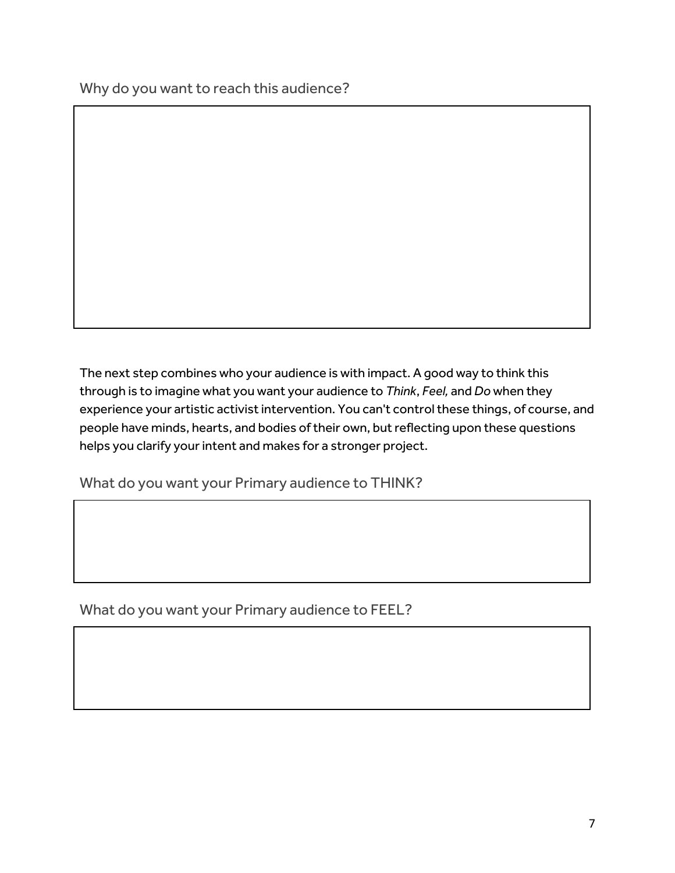Why do you want to reach this audience?

The next step combines who your audience is with impact. A good way to think this through is to imagine what you want your audience to *Think*, *Feel,* and *Do* when they experience your artistic activist intervention. You can't control these things, of course, and people have minds, hearts, and bodies of their own, but reflecting upon these questions helps you clarify your intent and makes for a stronger project.

What do you want your Primary audience to THINK?

What do you want your Primary audience to FEEL?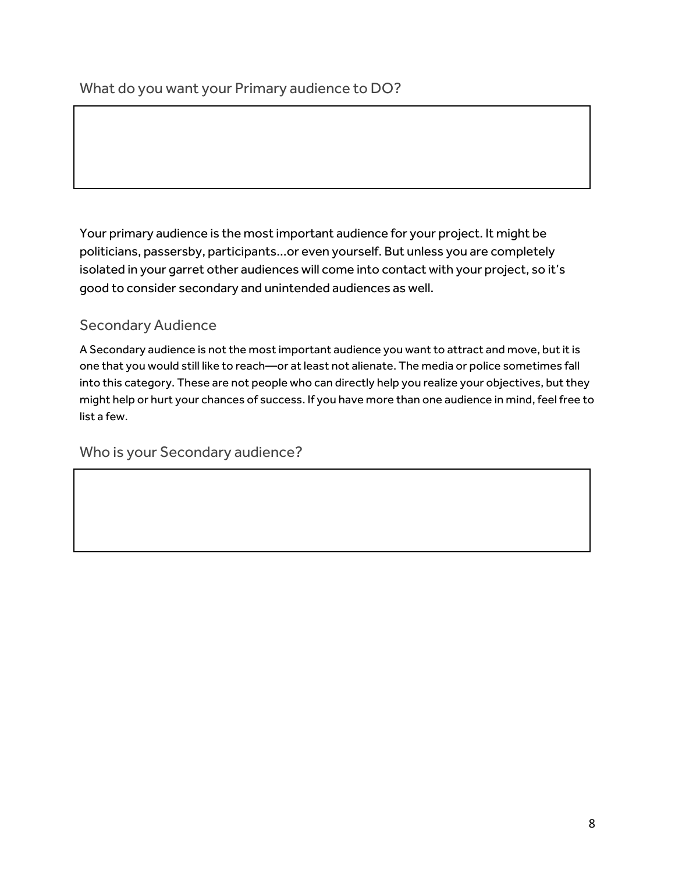Your primary audience is the most important audience for your project. It might be politicians, passersby, participants...or even yourself. But unless you are completely isolated in your garret other audiences will come into contact with your project, so it's good to consider secondary and unintended audiences as well.

### Secondary Audience

A Secondary audience is not the most important audience you want to attract and move, but it is one that you would still like to reach—or at least not alienate. The media or police sometimes fall into this category. These are not people who can directly help you realize your objectives, but they might help or hurt your chances of success. If you have more than one audience in mind, feel free to list a few.

Who is your Secondary audience?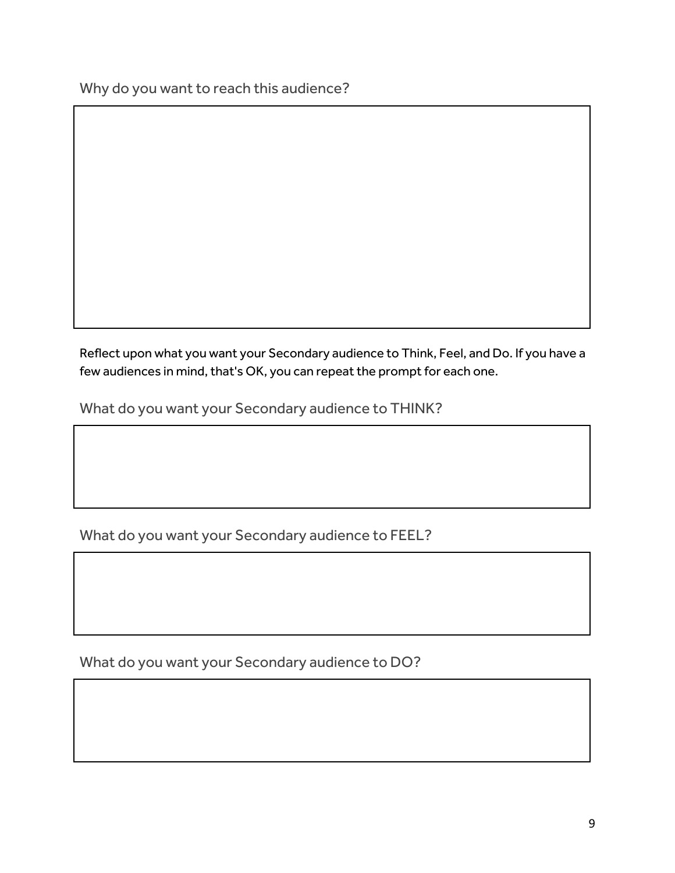Why do you want to reach this audience?

Reflect upon what you want your Secondary audience to Think, Feel, and Do. If you have a few audiences in mind, that's OK, you can repeat the prompt for each one.

What do you want your Secondary audience to THINK?

What do you want your Secondary audience to FEEL?

What do you want your Secondary audience to DO?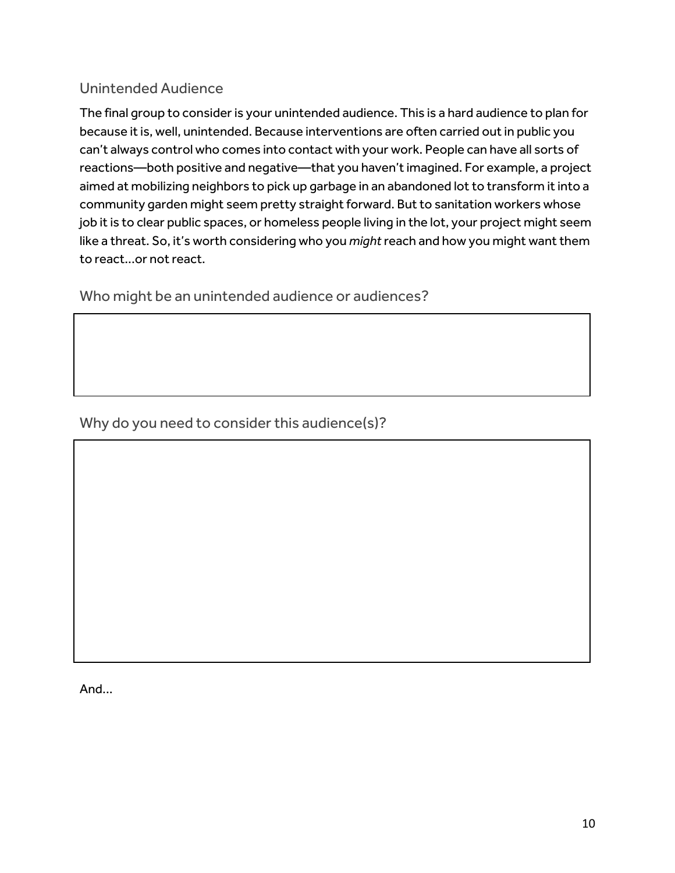### Unintended Audience

The final group to consider is your unintended audience. This is a hard audience to plan for because it is, well, unintended. Because interventions are often carried out in public you can't always control who comes into contact with your work. People can have all sorts of reactions—both positive and negative—that you haven't imagined. For example, a project aimed at mobilizing neighbors to pick up garbage in an abandoned lot to transform it into a community garden might seem pretty straight forward. But to sanitation workers whose job it is to clear public spaces, or homeless people living in the lot, your project might seem like a threat. So, it's worth considering who you *might* reach and how you might want them to react...or not react.

Who might be an unintended audience or audiences?

Why do you need to consider this audience(s)?

And...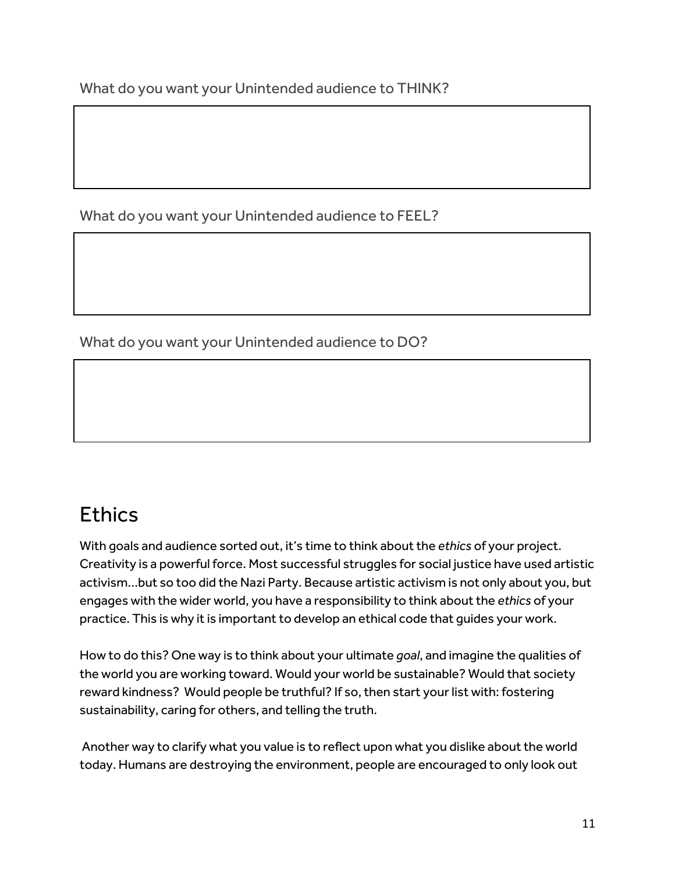What do you want your Unintended audience to THINK?

What do you want your Unintended audience to FEEL?

What do you want your Unintended audience to DO?

# **Fthics**

With goals and audience sorted out, it's time to think about the *ethics* of your project. Creativity is a powerful force. Most successful struggles for social justice have used artistic activism...but so too did the Nazi Party. Because artistic activism is not only about you, but engages with the wider world, you have a responsibility to think about the *ethics* of your practice. This is why it is important to develop an ethical code that guides your work.

How to do this? One way is to think about your ultimate *goal*, and imagine the qualities of the world you are working toward. Would your world be sustainable? Would that society reward kindness? Would people be truthful? If so, then start your list with: fostering sustainability, caring for others, and telling the truth.

Another way to clarify what you value is to reflect upon what you dislike about the world today. Humans are destroying the environment, people are encouraged to only look out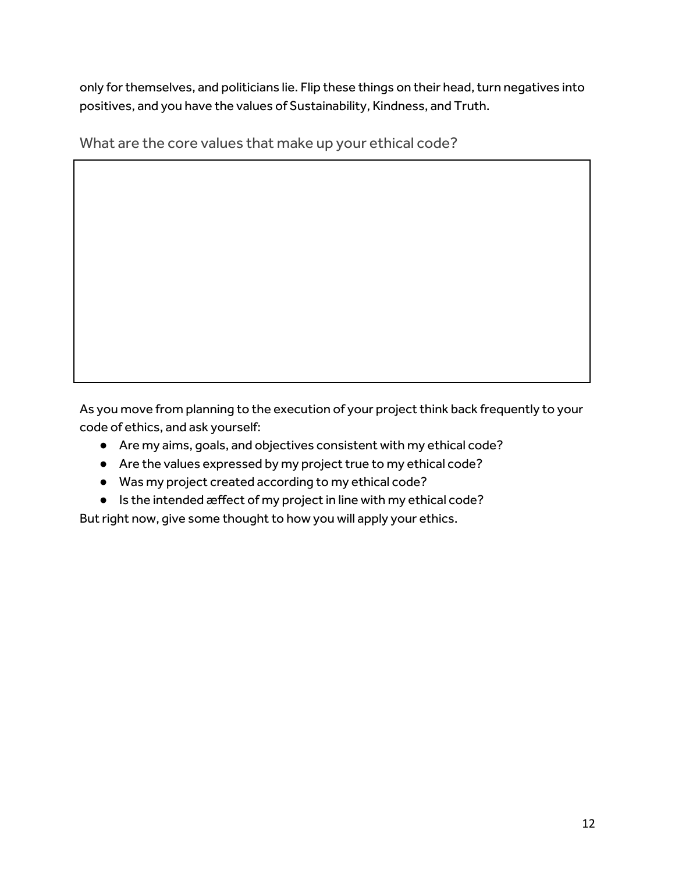only for themselves, and politicians lie. Flip these things on their head, turn negatives into positives, and you have the values of Sustainability, Kindness, and Truth.

What are the core values that make up your ethical code?

As you move from planning to the execution of your project think back frequently to your code of ethics, and ask yourself:

- Are my aims, goals, and objectives consistent with my ethical code?
- Are the values expressed by my project true to my ethical code?
- Was my project created according to my ethical code?
- Is the intended æffect of my project in line with my ethical code?

But right now, give some thought to how you will apply your ethics.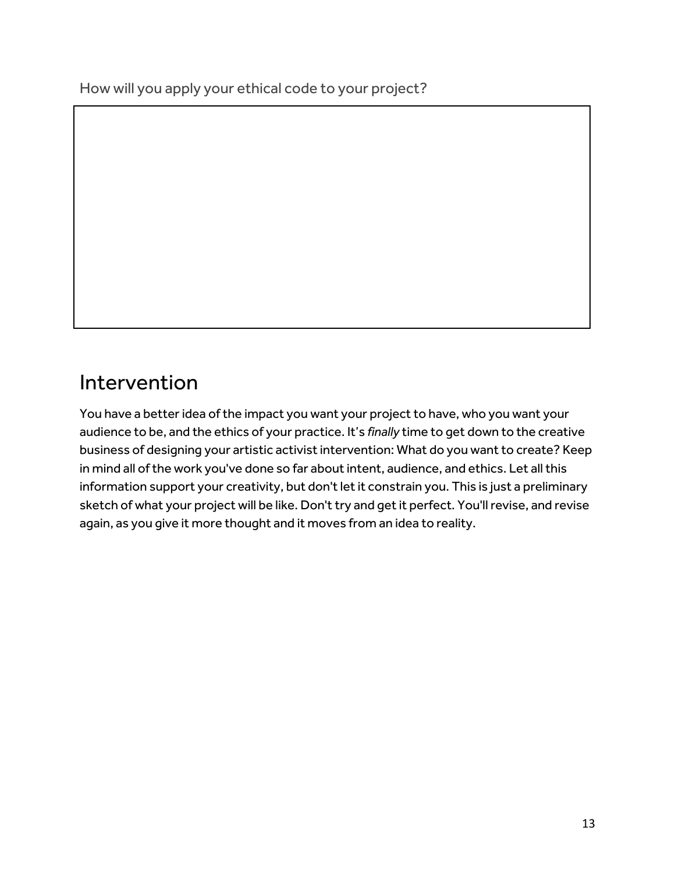How will you apply your ethical code to your project?

### Intervention

You have a better idea of the impact you want your project to have, who you want your audience to be, and the ethics of your practice. It's *finally* time to get down to the creative business of designing your artistic activist intervention: What do you want to create? Keep in mind all of the work you've done so far about intent, audience, and ethics. Let all this information support your creativity, but don't let it constrain you. This is just a preliminary sketch of what your project will be like. Don't try and get it perfect. You'll revise, and revise again, as you give it more thought and it moves from an idea to reality.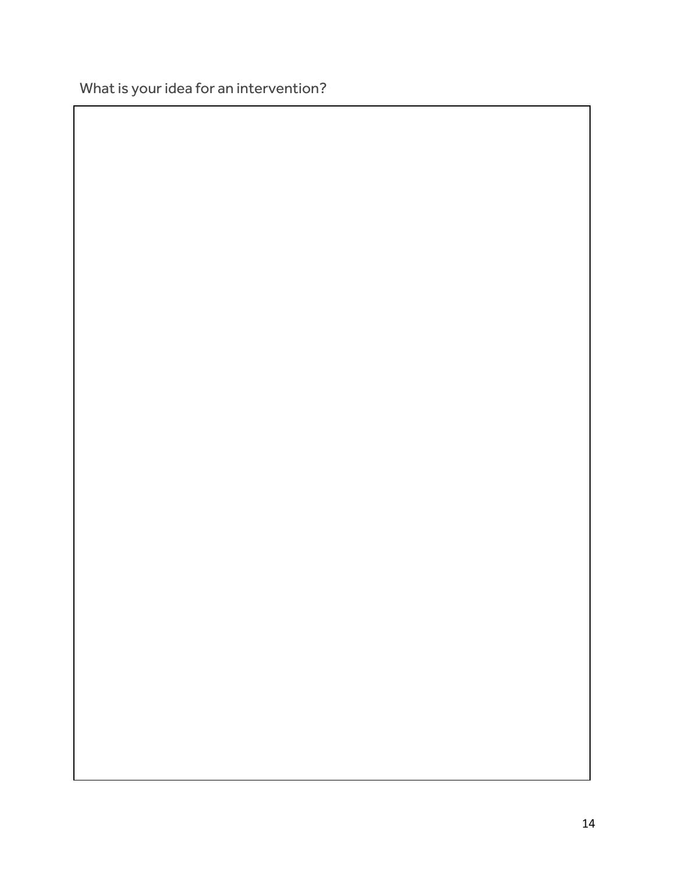What is your idea for an intervention?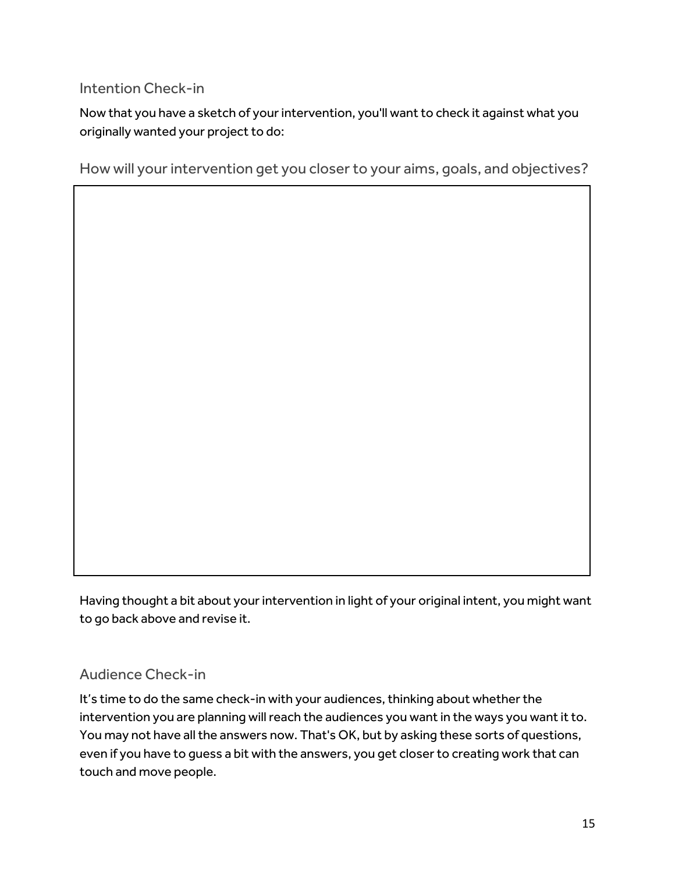### Intention Check-in

Now that you have a sketch of your intervention, you'll want to check it against what you originally wanted your project to do:

How will your intervention get you closer to your aims, goals, and objectives?

Having thought a bit about your intervention in light of your original intent, you might want to go back above and revise it.

### Audience Check-in

It's time to do the same check-in with your audiences, thinking about whether the intervention you are planning will reach the audiences you want in the ways you want it to. You may not have all the answers now. That's OK, but by asking these sorts of questions, even if you have to guess a bit with the answers, you get closer to creating work that can touch and move people.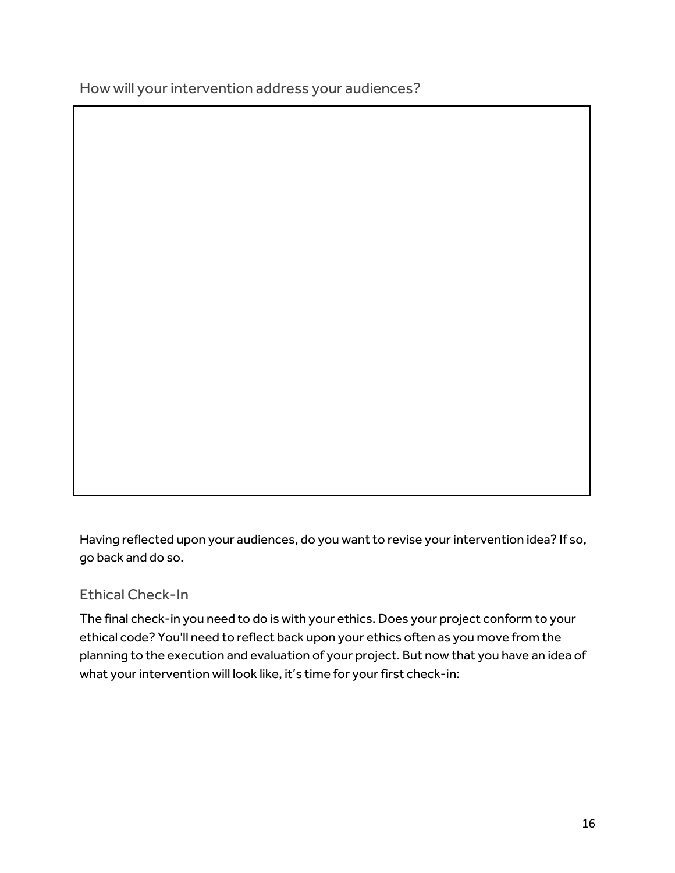How will your intervention address your audiences?

Having reflected upon your audiences, do you want to revise your intervention idea? If so, go back and do so.

### Ethical Check-In

The final check-in you need to do is with your ethics. Does your project conform to your ethical code? You'll need to reflect back upon your ethics often as you move from the planning to the execution and evaluation of your project. But now that you have an idea of what your intervention will look like, it's time for your first check-in: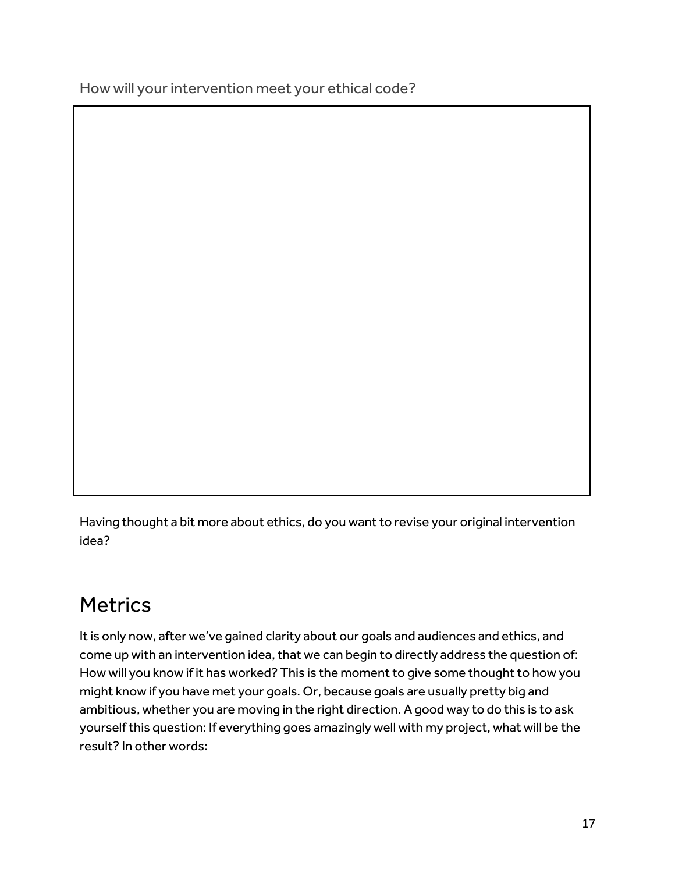How will your intervention meet your ethical code?

Having thought a bit more about ethics, do you want to revise your original intervention idea?

# **Metrics**

It is only now, after we've gained clarity about our goals and audiences and ethics, and come up with an intervention idea, that we can begin to directly address the question of: How will you know if it has worked? This is the moment to give some thought to how you might know if you have met your goals. Or, because goals are usually pretty big and ambitious, whether you are moving in the right direction. A good way to do this is to ask yourself this question: If everything goes amazingly well with my project, what will be the result? In other words: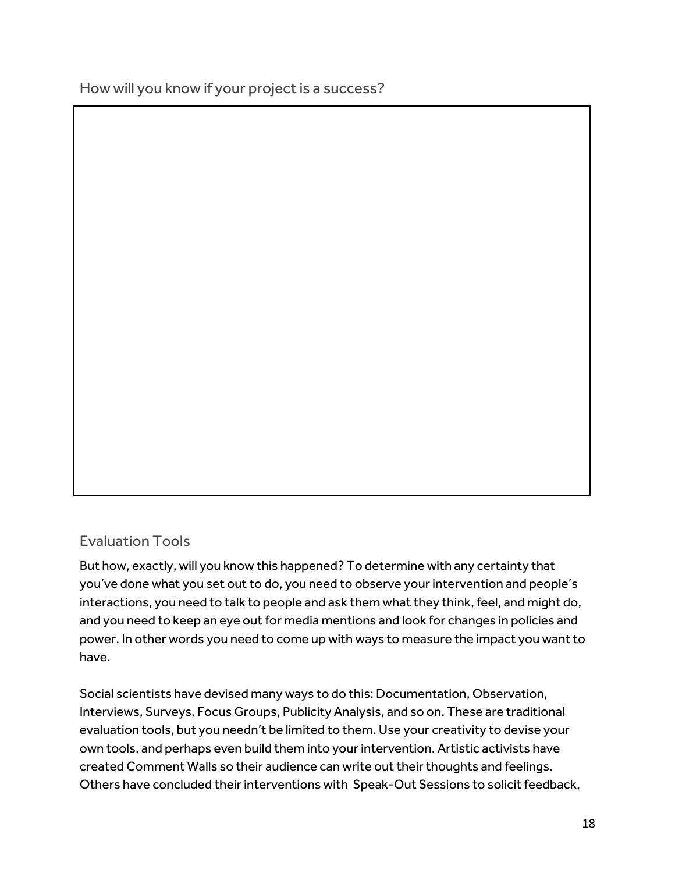How will you know if your project is a success?

### Evaluation Tools

But how, exactly, will you know this happened? To determine with any certainty that you've done what you set out to do, you need to observe yourintervention and people's interactions, you need to talk to people and ask them what they think, feel, and might do, and you need to keep an eye out for media mentions and look for changes in policies and power. In other words you need to come up with ways to measure the impact you want to have.

Social scientists have devised many ways to do this: Documentation, Observation, Interviews, Surveys, Focus Groups, Publicity Analysis, and so on. These are traditional evaluation tools, but you needn't be limited to them. Use your creativity to devise your own tools, and perhaps even build them into your intervention. Artistic activists have created Comment Walls so their audience can write out their thoughts and feelings. Others have concluded their interventions with Speak-Out Sessions to solicit feedback,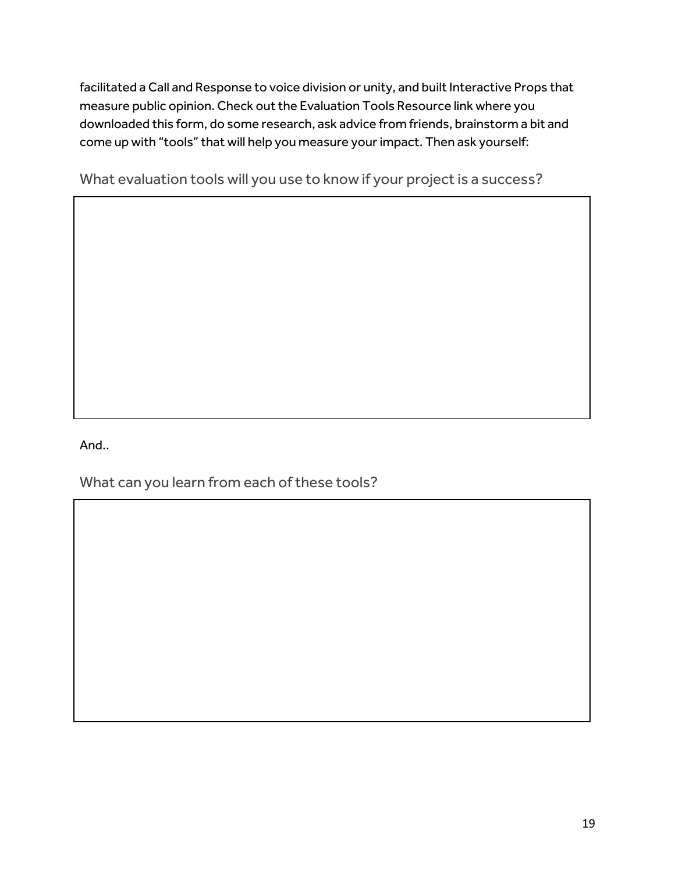facilitated a Call and Response to voice division or unity, and built Interactive Props that measure public opinion. Check out the Evaluation Tools Resource link where you downloaded this form, do some research, ask advice from friends, brainstorm a bit and come up with "tools" that will help you measure your impact. Then ask yourself:

What evaluation tools will you use to know if your project is a success?

And..

What can you learn from each of these tools?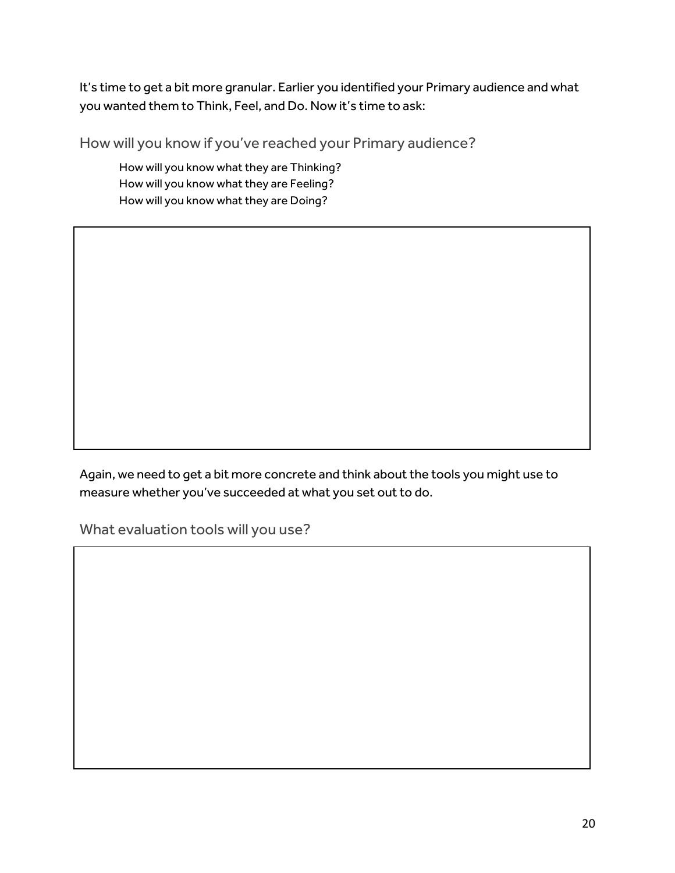It's time to get a bit more granular. Earlier you identified your Primary audience and what you wanted them to Think, Feel, and Do. Now it's time to ask:

How will you know if you've reached your Primary audience?

How will you know what they are Thinking? How will you know what they are Feeling? How will you know what they are Doing?

Again, we need to get a bit more concrete and think about the tools you might use to measure whether you've succeeded at what you set out to do.

What evaluation tools will you use?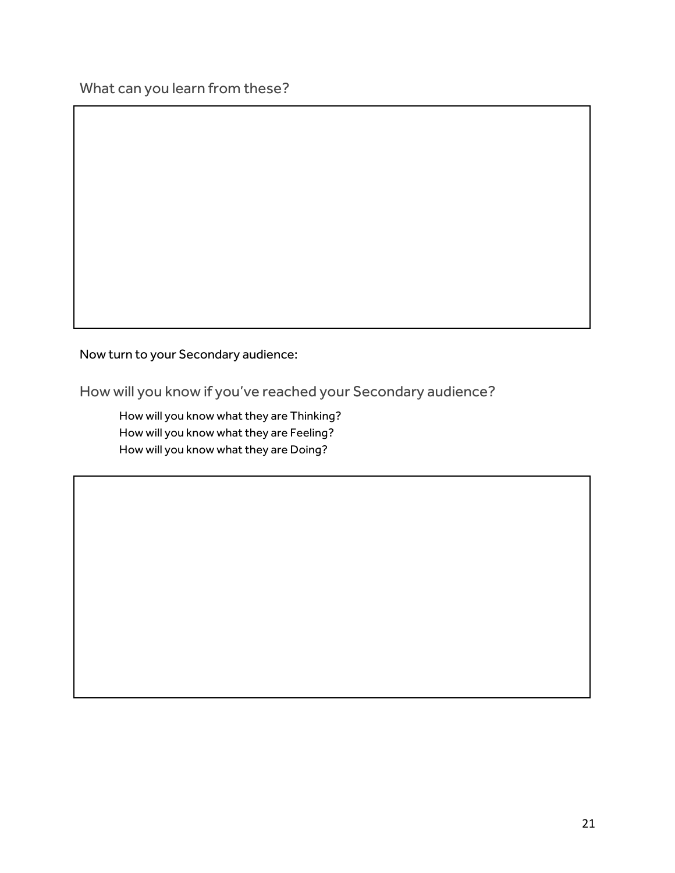What can you learn from these?

Now turn to your Secondary audience:

How will you know if you've reached your Secondary audience?

How will you know what they are Thinking? How will you know what they are Feeling? How will you know what they are Doing?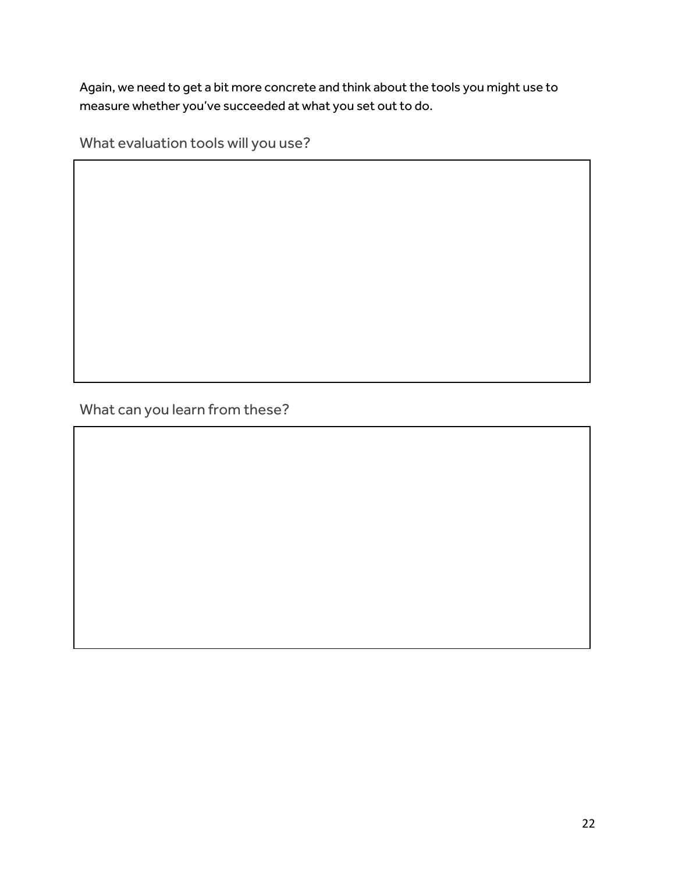Again, we need to get a bit more concrete and think about the tools you might use to measure whether you've succeeded at what you set out to do.

What evaluation tools will you use?

What can you learn from these?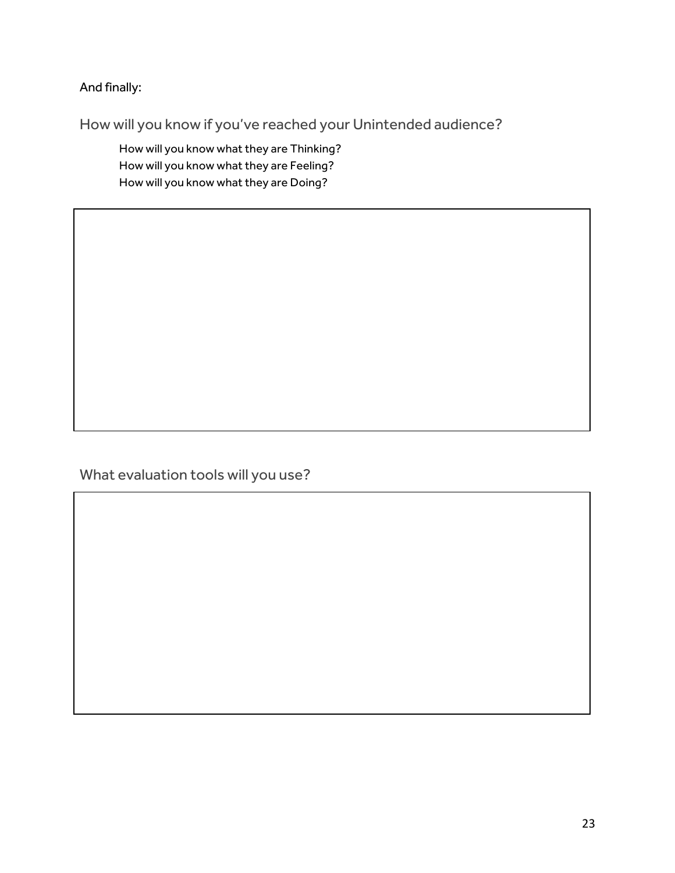And finally:

How will you know if you've reached your Unintended audience?

How will you know what they are Thinking? How will you know what they are Feeling? How will you know what they are Doing?

What evaluation tools will you use?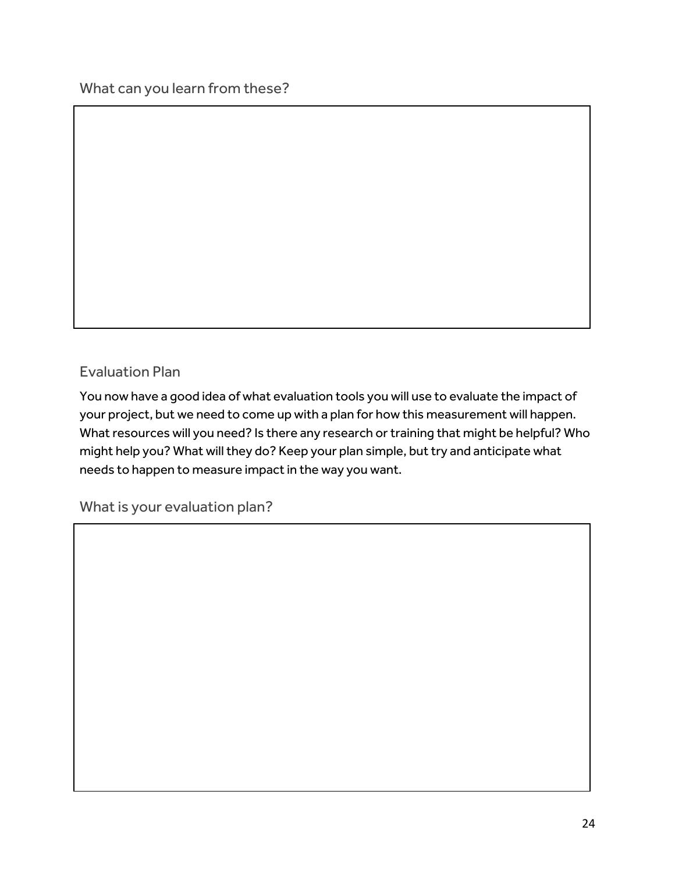What can you learn from these?

### Evaluation Plan

You now have a good idea of what evaluation tools you will use to evaluate the impact of your project, but we need to come up with a plan for how this measurement will happen. What resources will you need? Is there any research or training that might be helpful? Who might help you? What will they do? Keep your plan simple, but try and anticipate what needs to happen to measure impact in the way you want.

What is your evaluation plan?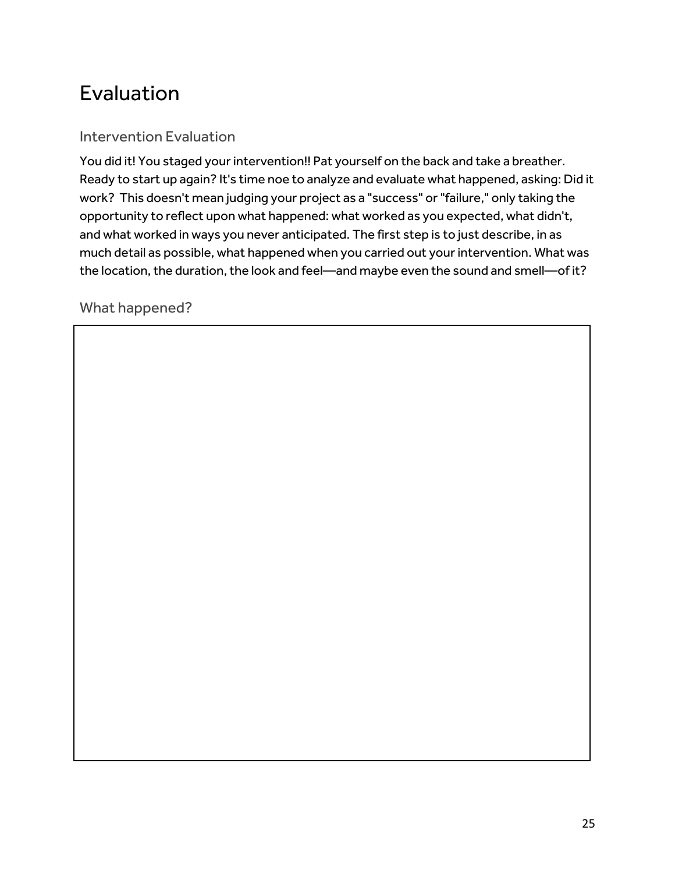# Evaluation

### Intervention Evaluation

You did it! You staged your intervention!! Pat yourself on the back and take a breather. Ready to start up again? It's time noe to analyze and evaluate what happened, asking: Did it work? This doesn't mean judging your project as a "success" or "failure," only taking the opportunity to reflect upon what happened: what worked as you expected, what didn't, and what worked in ways you never anticipated. The first step is to just describe, in as much detail as possible, what happened when you carried out your intervention. What was the location, the duration, the look and feel—and maybe even the sound and smell—of it?

What happened?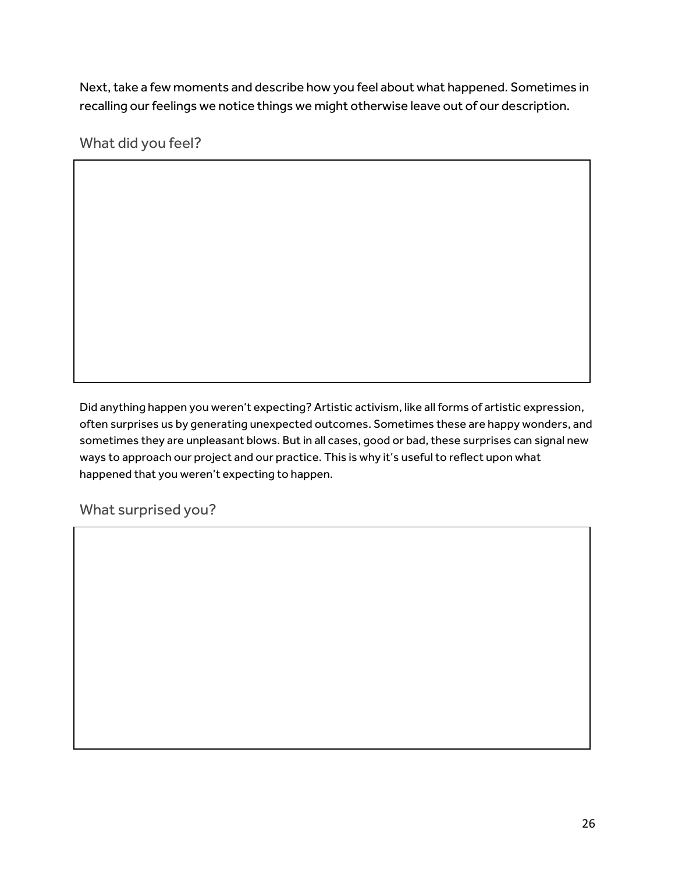Next, take a few moments and describe how you feel about what happened. Sometimes in recalling our feelings we notice things we might otherwise leave out of our description.

What did you feel?

Did anything happen you weren't expecting? Artistic activism, like all forms of artistic expression, often surprises us by generating unexpected outcomes. Sometimes these are happy wonders, and sometimes they are unpleasant blows. But in all cases, good or bad, these surprises can signal new ways to approach our project and our practice. This is why it's useful to reflect upon what happened that you weren't expecting to happen.

What surprised you?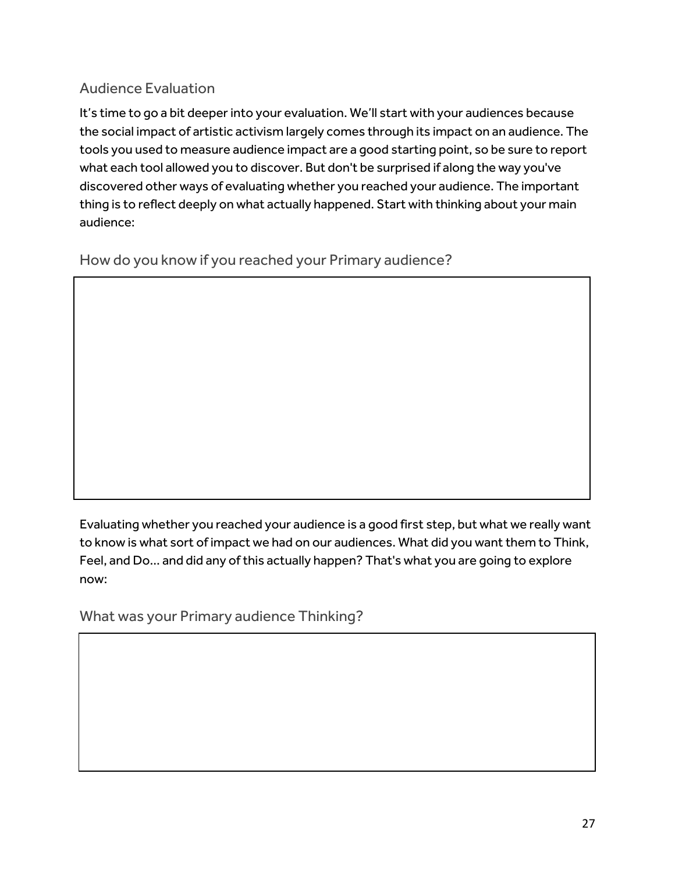### Audience Evaluation

It's time to go a bit deeper into your evaluation. We'll start with your audiences because the social impact of artistic activism largely comes through its impact on an audience. The tools you used to measure audience impact are a good starting point, so be sure to report what each tool allowed you to discover. But don't be surprised if along the way you've discovered other ways of evaluating whether you reached your audience. The important thing is to reflect deeply on what actually happened. Start with thinking about your main audience:

How do you know if you reached your Primary audience?

Evaluating whether you reached your audience is a good first step, but what we really want to know is what sort of impact we had on our audiences. What did you want them to Think, Feel, and Do... and did any of this actually happen? That's what you are going to explore now:

What was your Primary audience Thinking?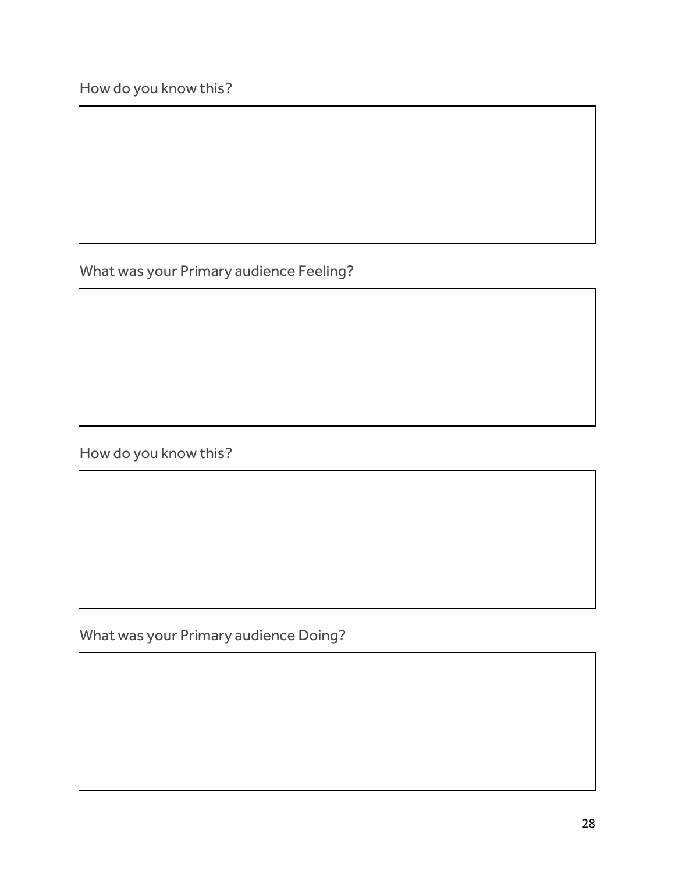What was your Primary audience Feeling?

How do you know this?

What was your Primary audience Doing?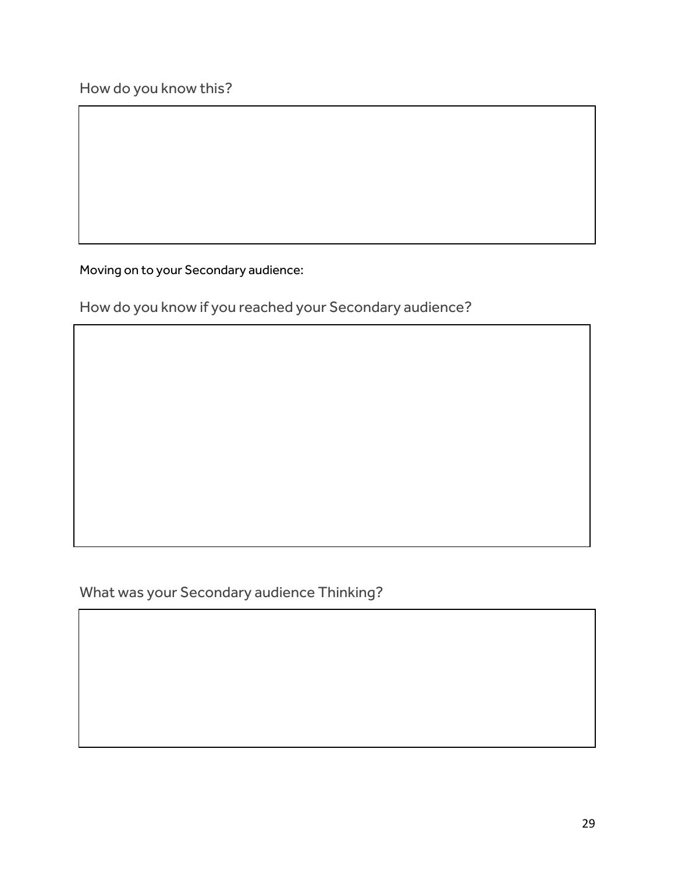Moving on to your Secondary audience:

How do you know if you reached your Secondary audience?

What was your Secondary audience Thinking?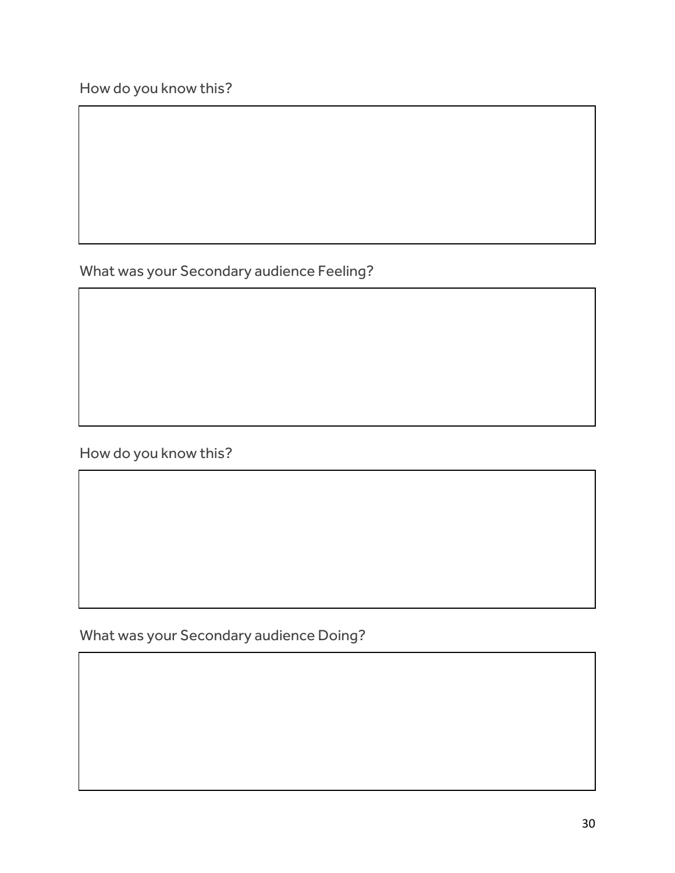What was your Secondary audience Feeling?

How do you know this?

What was your Secondary audience Doing?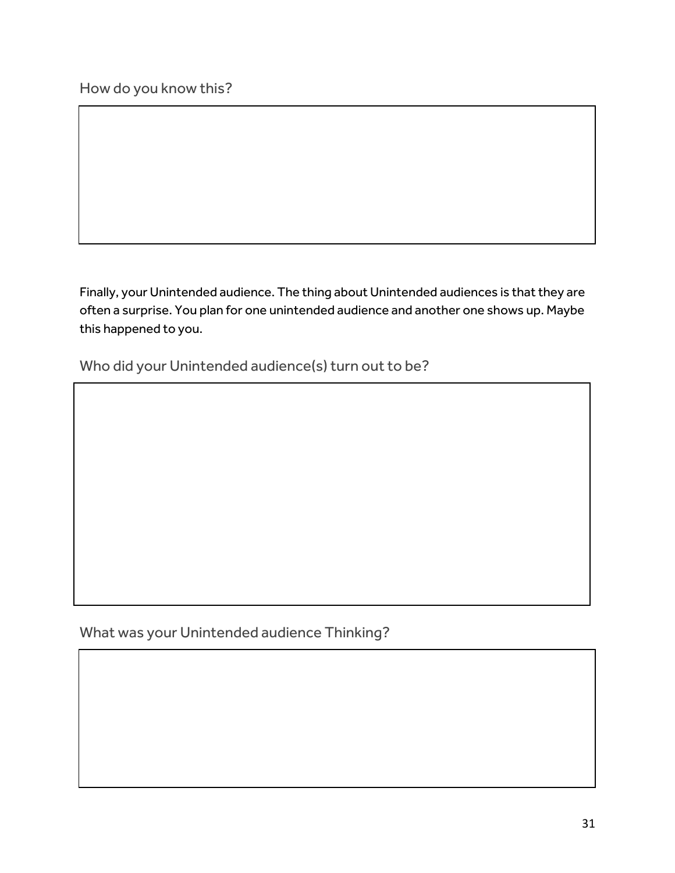Finally, your Unintended audience. The thing about Unintended audiences is that they are often a surprise. You plan for one unintended audience and another one shows up. Maybe this happened to you.

Who did your Unintended audience(s) turn out to be?

What was your Unintended audience Thinking?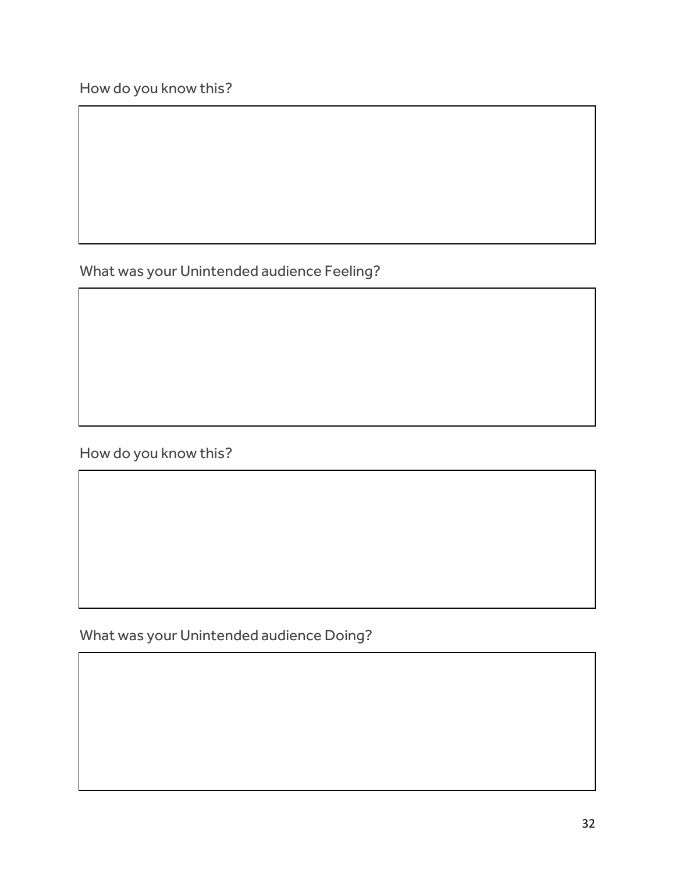What was your Unintended audience Feeling?

How do you know this?

What was your Unintended audience Doing?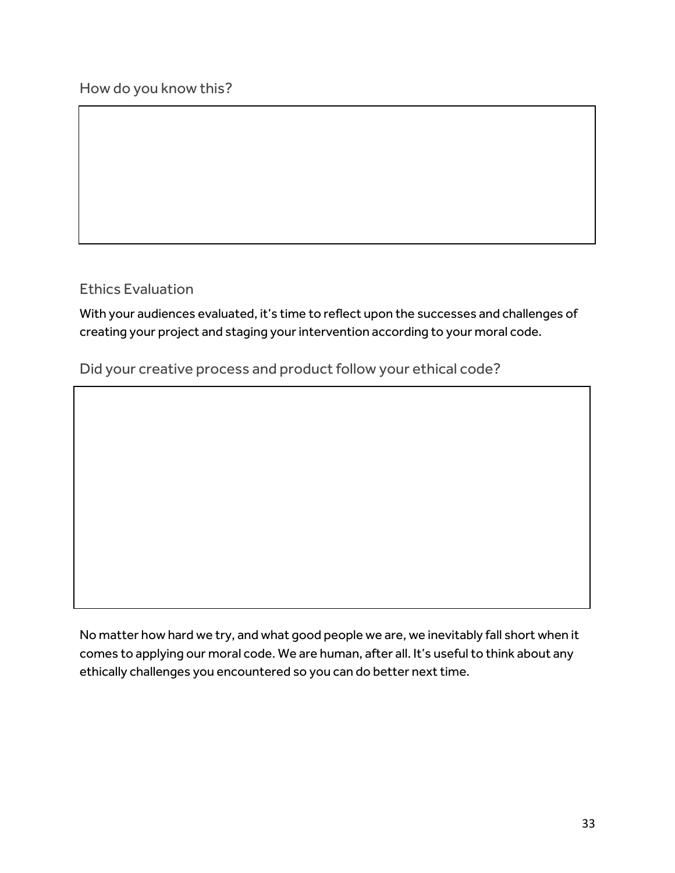Ethics Evaluation

With your audiences evaluated, it's time to reflect upon the successes and challenges of creating your project and staging your intervention according to your moral code.

Did your creative process and product follow your ethical code?

No matter how hard we try, and what good people we are, we inevitably fall short when it comes to applying our moral code. We are human, after all. It's useful to think about any ethically challenges you encountered so you can do better next time.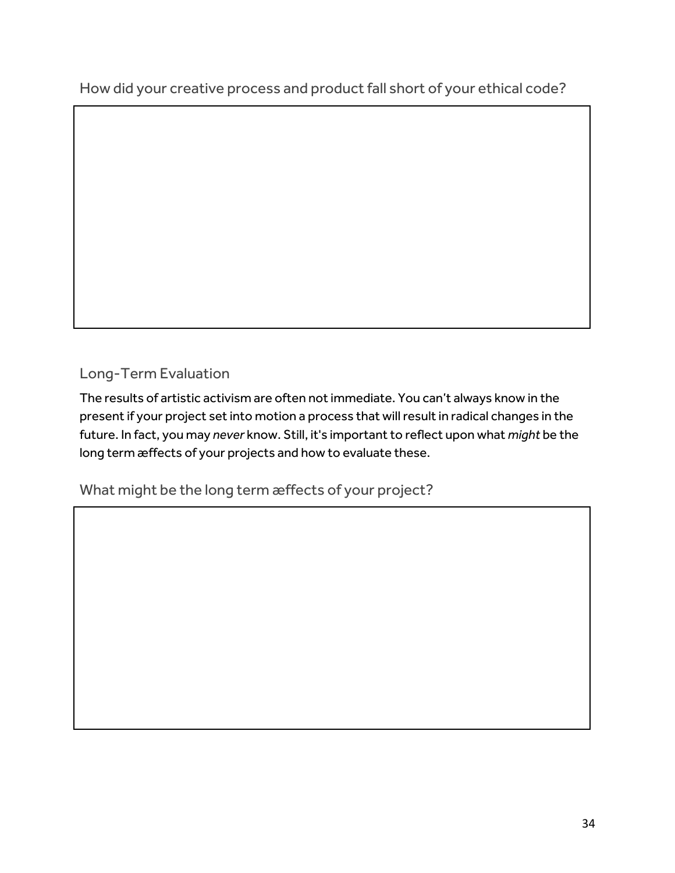How did your creative process and product fall short of your ethical code?

### Long-Term Evaluation

The results of artistic activism are often not immediate. You can't always know in the present if your project set into motion a process that will result in radical changes in the future. In fact, you may *never* know. Still, it's important to reflect upon what *might* be the long term æffects of your projects and how to evaluate these.

What might be the long term æffects of your project?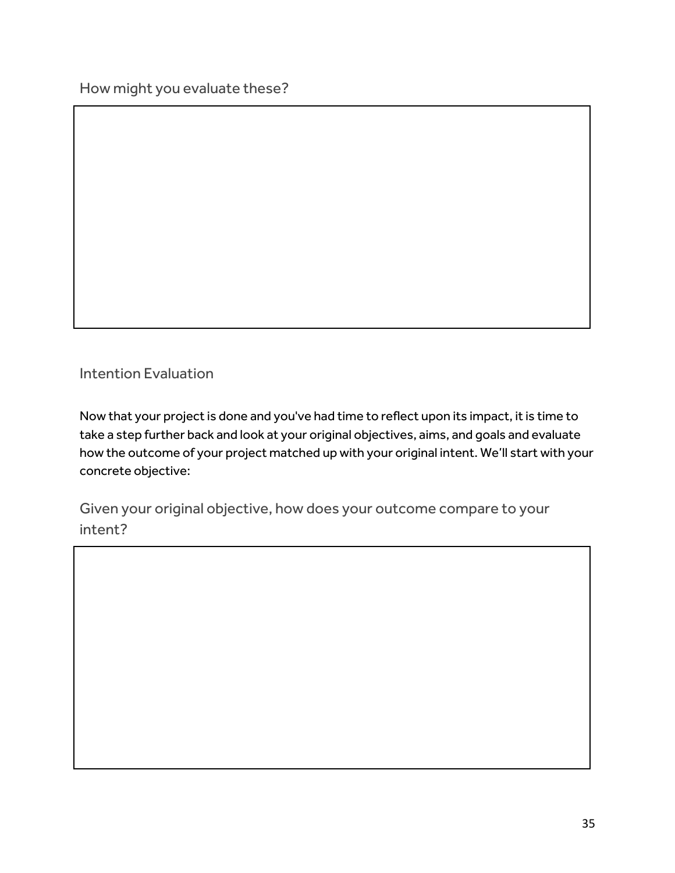How might you evaluate these?

Intention Evaluation

Now that your project is done and you've had time to reflect upon its impact, it is time to take a step further back and look at your original objectives, aims, and goals and evaluate how the outcome of your project matched up with your original intent. We'll start with your concrete objective:

Given your original objective, how does your outcome compare to your intent?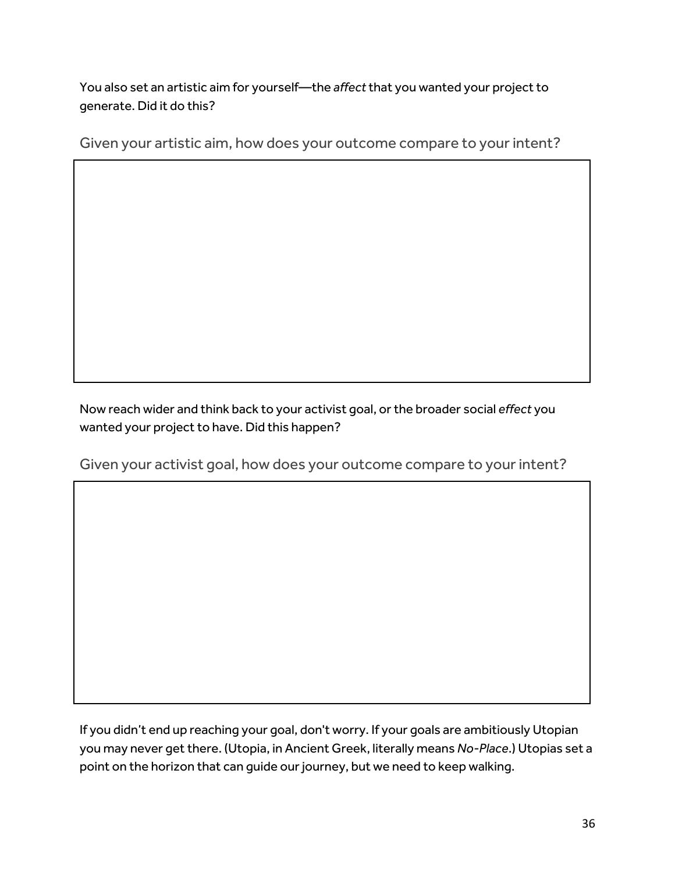You also set an artistic aim for yourself—the *affect* that you wanted your project to generate. Did it do this?

Given your artistic aim, how does your outcome compare to your intent?

Now reach wider and think back to your activist goal, or the broader social *effect* you wanted your project to have. Did this happen?

Given your activist goal, how does your outcome compare to your intent?

If you didn't end up reaching your goal, don't worry. If your goals are ambitiously Utopian you may never get there. (Utopia, in Ancient Greek, literally means *No-Place*.) Utopias set a point on the horizon that can guide our journey, but we need to keep walking.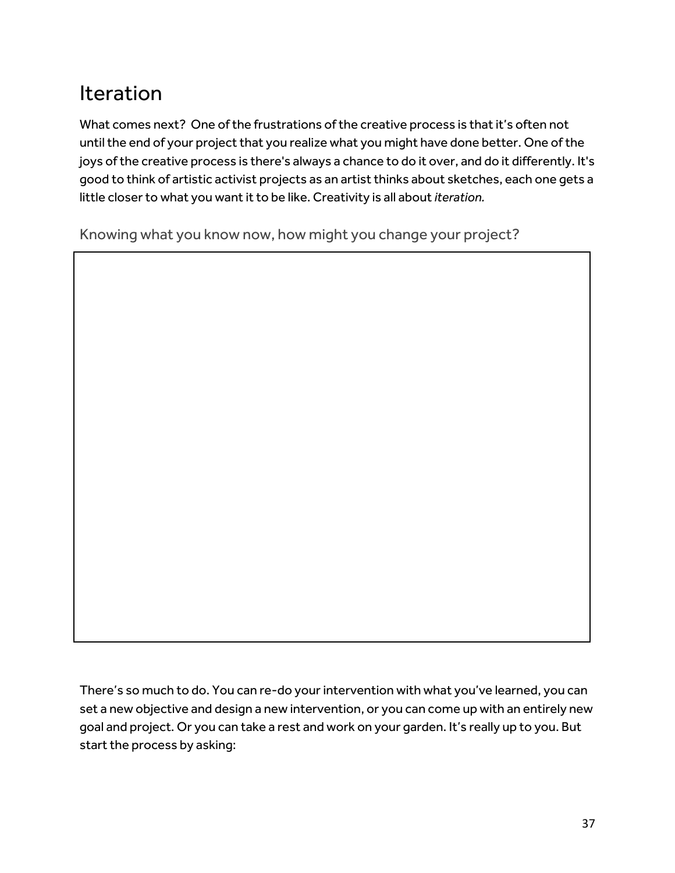# Iteration

What comes next? One of the frustrations of the creative process is that it's often not until the end of your project that you realize what you might have done better. One of the joys of the creative process is there's always a chance to do it over, and do it differently. It's good to think of artistic activist projects as an artist thinks about sketches, each one gets a little closer to what you want it to be like. Creativity is all about *iteration.*

Knowing what you know now, how might you change your project?

There's so much to do. You can re-do your intervention with what you've learned, you can set a new objective and design a new intervention, or you can come up with an entirely new goal and project. Or you can take a rest and work on your garden. It's really up to you. But start the process by asking: